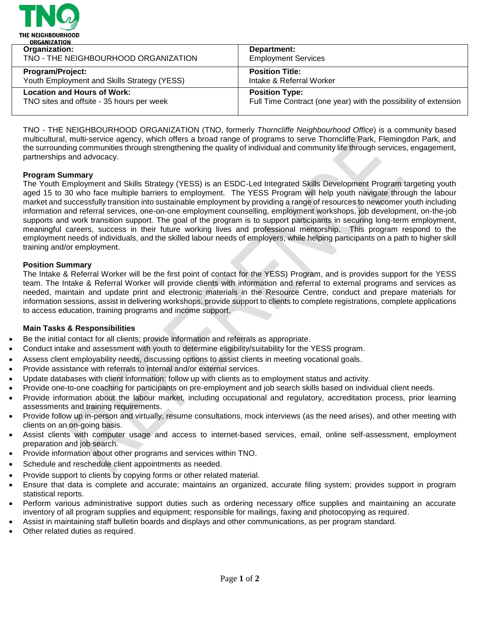

| <u>UNUMBERITUR</u>                          |                                                                 |
|---------------------------------------------|-----------------------------------------------------------------|
| Organization:                               | Department:                                                     |
| TNO - THE NEIGHBOURHOOD ORGANIZATION        | <b>Employment Services</b>                                      |
| <b>Program/Project:</b>                     | <b>Position Title:</b>                                          |
| Youth Employment and Skills Strategy (YESS) | Intake & Referral Worker                                        |
| <b>Location and Hours of Work:</b>          | <b>Position Type:</b>                                           |
| TNO sites and offsite - 35 hours per week   | Full Time Contract (one year) with the possibility of extension |
|                                             |                                                                 |

TNO - THE NEIGHBOURHOOD ORGANIZATION (TNO, formerly *Thorncliffe Neighbourhood Office*) is a community based multicultural, multi-service agency, which offers a broad range of programs to serve Thorncliffe Park, Flemingdon Park, and the surrounding communities through strengthening the quality of individual and community life through services, engagement, partnerships and advocacy.

## **Program Summary**

The Youth Employment and Skills Strategy (YESS) is an ESDC-Led Integrated Skills Development Program targeting youth aged 15 to 30 who face multiple barriers to employment. The YESS Program will help youth navigate through the labour market and successfully transition into sustainable employment by providing a range of resources to newcomer youth including information and referral services, one-on-one employment counselling, employment workshops, job development, on-the-job supports and work transition support. The goal of the program is to support participants in securing long-term employment, meaningful careers, success in their future working lives and professional mentorship. This program respond to the employment needs of individuals, and the skilled labour needs of employers, while helping participants on a path to higher skill training and/or employment.

### **Position Summary**

The Intake & Referral Worker will be the first point of contact for the YESS) Program, and is provides support for the YESS team. The Intake & Referral Worker will provide clients with information and referral to external programs and services as needed, maintain and update print and electronic materials in the Resource Centre, conduct and prepare materials for information sessions, assist in delivering workshops, provide support to clients to complete registrations, complete applications to access education, training programs and income support.

### **Main Tasks & Responsibilities**

- Be the initial contact for all clients; provide information and referrals as appropriate.
- Conduct intake and assessment with youth to determine eligibility/suitability for the YESS program.
- Assess client employability needs, discussing options to assist clients in meeting vocational goals.
- Provide assistance with referrals to internal and/or external services.
- Update databases with client information; follow up with clients as to employment status and activity.
- Provide one-to-one coaching for participants on pre-employment and job search skills based on individual client needs.
- Provide information about the labour market, including occupational and regulatory, accreditation process, prior learning assessments and training requirements.
- Provide follow up in-person and virtually, resume consultations, mock interviews (as the need arises), and other meeting with clients on an on-going basis.
- Assist clients with computer usage and access to internet-based services, email, online self-assessment, employment preparation and job search.
- Provide information about other programs and services within TNO.
- Schedule and reschedule client appointments as needed.
- Provide support to clients by copying forms or other related material.
- Ensure that data is complete and accurate; maintains an organized, accurate filing system; provides support in program statistical reports.
- Perform various administrative support duties such as ordering necessary office supplies and maintaining an accurate inventory of all program supplies and equipment; responsible for mailings, faxing and photocopying as required.
- Assist in maintaining staff bulletin boards and displays and other communications, as per program standard.
- Other related duties as required.